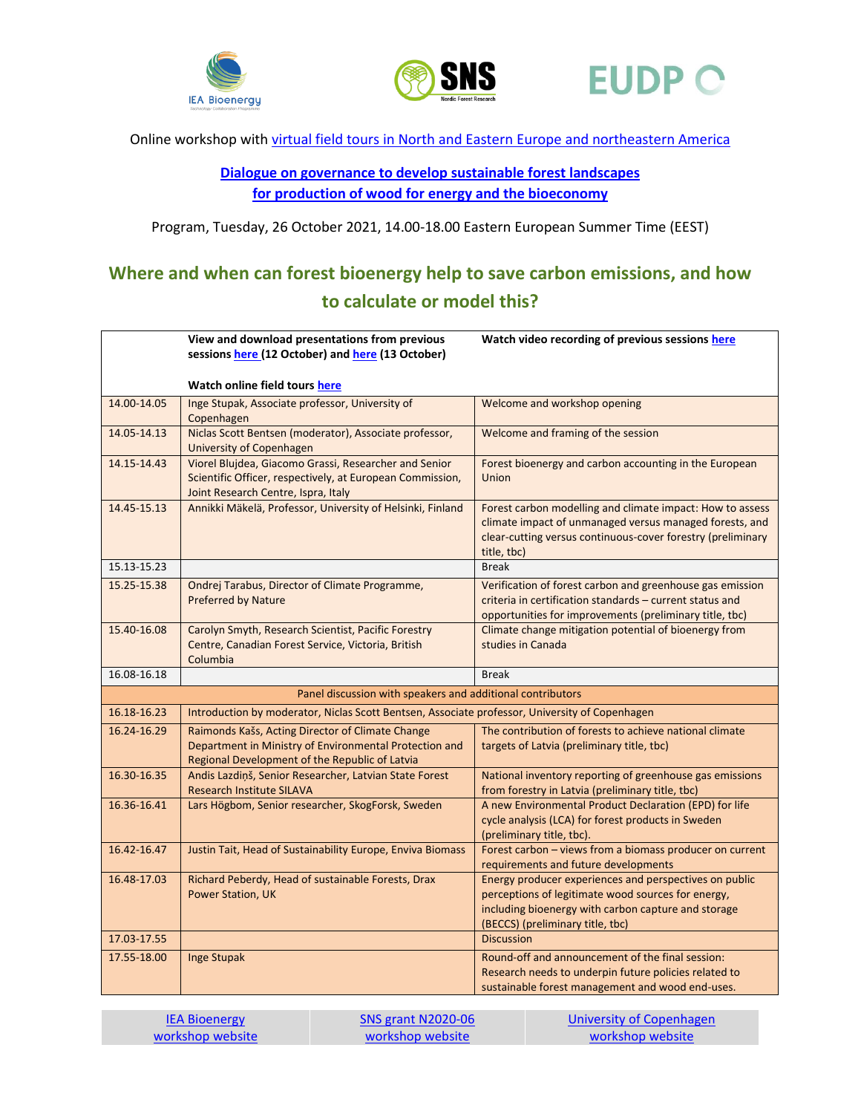





Online workshop with [virtual field tours in North and Eastern Europe and northeastern America](https://ign.ku.dk/english/calender/2021/sustainable-forest-bioenergy-study-tour/Online_workshop_virtual_field_tours_for_website_Oct2021_v4.pdf)

**[Dialogue on governance to develop sustainable forest landscapes](https://ign.ku.dk/english/calender/2021/sustainable-forest-bioenergy-study-tour/)  [for production of wood for energy and the bioeconomy](https://ign.ku.dk/english/calender/2021/sustainable-forest-bioenergy-study-tour/)**

Program, Tuesday, 26 October 2021, 14.00-18.00 Eastern European Summer Time (EEST)

## **Where and when can forest bioenergy help to save carbon emissions, and how to calculate or model this?**

|                                                                                                                                                | Watch video recording of previous sessions here         |  |  |
|------------------------------------------------------------------------------------------------------------------------------------------------|---------------------------------------------------------|--|--|
|                                                                                                                                                | sessions here (12 October) and here (13 October)        |  |  |
|                                                                                                                                                |                                                         |  |  |
| Watch online field tours here                                                                                                                  |                                                         |  |  |
| Inge Stupak, Associate professor, University of<br>14.00-14.05<br>Welcome and workshop opening<br>Copenhagen                                   |                                                         |  |  |
| 14.05-14.13<br>Niclas Scott Bentsen (moderator), Associate professor,<br>Welcome and framing of the session<br>University of Copenhagen        |                                                         |  |  |
| Viorel Blujdea, Giacomo Grassi, Researcher and Senior<br>14.15-14.43<br>Forest bioenergy and carbon accounting in the European                 |                                                         |  |  |
| Scientific Officer, respectively, at European Commission,<br>Union<br>Joint Research Centre, Ispra, Italy                                      |                                                         |  |  |
| Annikki Mäkelä, Professor, University of Helsinki, Finland<br>14.45-15.13<br>Forest carbon modelling and climate impact: How to assess         |                                                         |  |  |
| climate impact of unmanaged versus managed forests, and                                                                                        |                                                         |  |  |
| clear-cutting versus continuous-cover forestry (preliminary                                                                                    |                                                         |  |  |
| title, tbc)                                                                                                                                    |                                                         |  |  |
| 15.13-15.23<br><b>Break</b>                                                                                                                    |                                                         |  |  |
| 15.25-15.38<br>Ondrej Tarabus, Director of Climate Programme,<br>Verification of forest carbon and greenhouse gas emission                     |                                                         |  |  |
| criteria in certification standards - current status and<br>Preferred by Nature                                                                |                                                         |  |  |
|                                                                                                                                                | opportunities for improvements (preliminary title, tbc) |  |  |
|                                                                                                                                                |                                                         |  |  |
| Carolyn Smyth, Research Scientist, Pacific Forestry<br>Climate change mitigation potential of bioenergy from<br>15.40-16.08                    |                                                         |  |  |
| Centre, Canadian Forest Service, Victoria, British<br>studies in Canada                                                                        |                                                         |  |  |
| Columbia<br>16.08-16.18<br><b>Break</b>                                                                                                        |                                                         |  |  |
| Panel discussion with speakers and additional contributors                                                                                     |                                                         |  |  |
| 16.18-16.23<br>Introduction by moderator, Niclas Scott Bentsen, Associate professor, University of Copenhagen                                  |                                                         |  |  |
| The contribution of forests to achieve national climate<br>Raimonds Kašs, Acting Director of Climate Change<br>16.24-16.29                     |                                                         |  |  |
| Department in Ministry of Environmental Protection and<br>targets of Latvia (preliminary title, tbc)                                           |                                                         |  |  |
| Regional Development of the Republic of Latvia                                                                                                 |                                                         |  |  |
| 16.30-16.35<br>Andis Lazdiņš, Senior Researcher, Latvian State Forest<br>National inventory reporting of greenhouse gas emissions              |                                                         |  |  |
| <b>Research Institute SILAVA</b><br>from forestry in Latvia (preliminary title, tbc)                                                           |                                                         |  |  |
| 16.36-16.41<br>A new Environmental Product Declaration (EPD) for life<br>Lars Högbom, Senior researcher, SkogForsk, Sweden                     |                                                         |  |  |
| cycle analysis (LCA) for forest products in Sweden                                                                                             |                                                         |  |  |
| (preliminary title, tbc).<br>16.42-16.47<br>Justin Tait, Head of Sustainability Europe, Enviva Biomass                                         |                                                         |  |  |
| Forest carbon - views from a biomass producer on current<br>requirements and future developments                                               |                                                         |  |  |
| 16.48-17.03<br>Richard Peberdy, Head of sustainable Forests, Drax<br>Energy producer experiences and perspectives on public                    |                                                         |  |  |
| perceptions of legitimate wood sources for energy,<br><b>Power Station, UK</b>                                                                 |                                                         |  |  |
| including bioenergy with carbon capture and storage                                                                                            |                                                         |  |  |
| (BECCS) (preliminary title, tbc)                                                                                                               |                                                         |  |  |
| 17.03-17.55<br><b>Discussion</b>                                                                                                               |                                                         |  |  |
| 17.55-18.00<br>Round-off and announcement of the final session:<br><b>Inge Stupak</b><br>Research needs to underpin future policies related to |                                                         |  |  |

[IEA Bioenergy](https://www.ieabioenergy.com/blog/publications/workshop-dialogue-on-governance-to-develop-sustainable-forest-landscapes-for-production-of-wood-for-energy-and-the-bioeconomy/) [workshop website](https://www.ieabioenergy.com/blog/publications/workshop-dialogue-on-governance-to-develop-sustainable-forest-landscapes-for-production-of-wood-for-energy-and-the-bioeconomy/)  **SNS grant N2020-06** [workshop website](https://nordicforestresearch.org/n2020-06/)

[University of Copenhagen](https://ign.ku.dk/english/calender/2021/sustainable-forest-bioenergy-study-tour/)  [workshop website](https://ign.ku.dk/english/calender/2021/sustainable-forest-bioenergy-study-tour/)